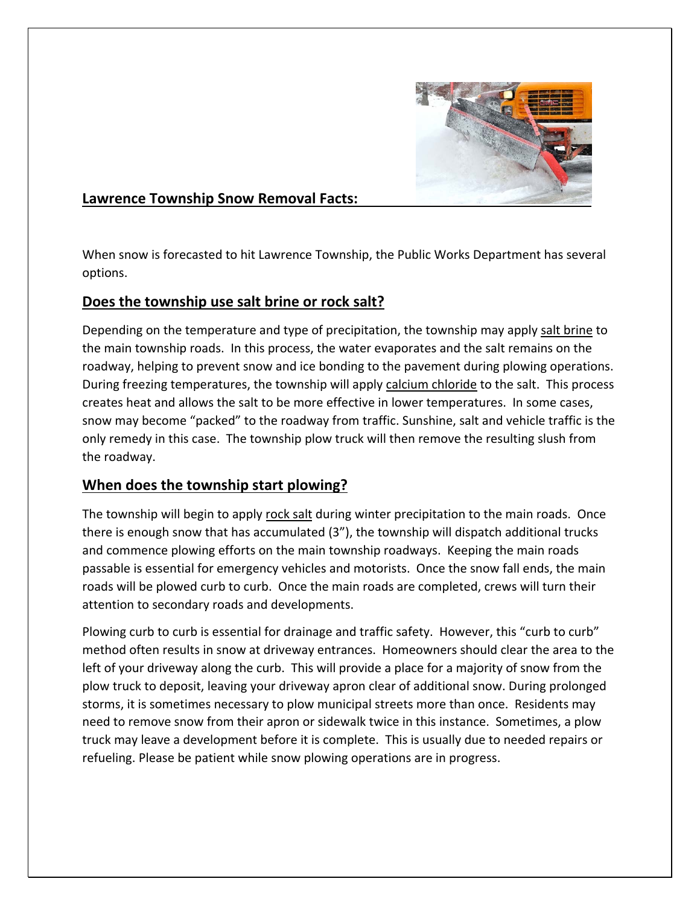

## **Lawrence Township Snow Removal Facts:**

When snow is forecasted to hit Lawrence Township, the Public Works Department has several options.

## **Does the township use salt brine or rock salt?**

Depending on the temperature and type of precipitation, the township may apply salt brine to the main township roads. In this process, the water evaporates and the salt remains on the roadway, helping to prevent snow and ice bonding to the pavement during plowing operations. During freezing temperatures, the township will apply calcium chloride to the salt. This process creates heat and allows the salt to be more effective in lower temperatures. In some cases, snow may become "packed" to the roadway from traffic. Sunshine, salt and vehicle traffic is the only remedy in this case. The township plow truck will then remove the resulting slush from the roadway.

## **When does the township start plowing?**

The township will begin to apply rock salt during winter precipitation to the main roads. Once there is enough snow that has accumulated (3"), the township will dispatch additional trucks and commence plowing efforts on the main township roadways. Keeping the main roads passable is essential for emergency vehicles and motorists. Once the snow fall ends, the main roads will be plowed curb to curb. Once the main roads are completed, crews will turn their attention to secondary roads and developments.

Plowing curb to curb is essential for drainage and traffic safety. However, this "curb to curb" method often results in snow at driveway entrances. Homeowners should clear the area to the left of your driveway along the curb. This will provide a place for a majority of snow from the plow truck to deposit, leaving your driveway apron clear of additional snow. During prolonged storms, it is sometimes necessary to plow municipal streets more than once. Residents may need to remove snow from their apron or sidewalk twice in this instance. Sometimes, a plow truck may leave a development before it is complete. This is usually due to needed repairs or refueling. Please be patient while snow plowing operations are in progress.